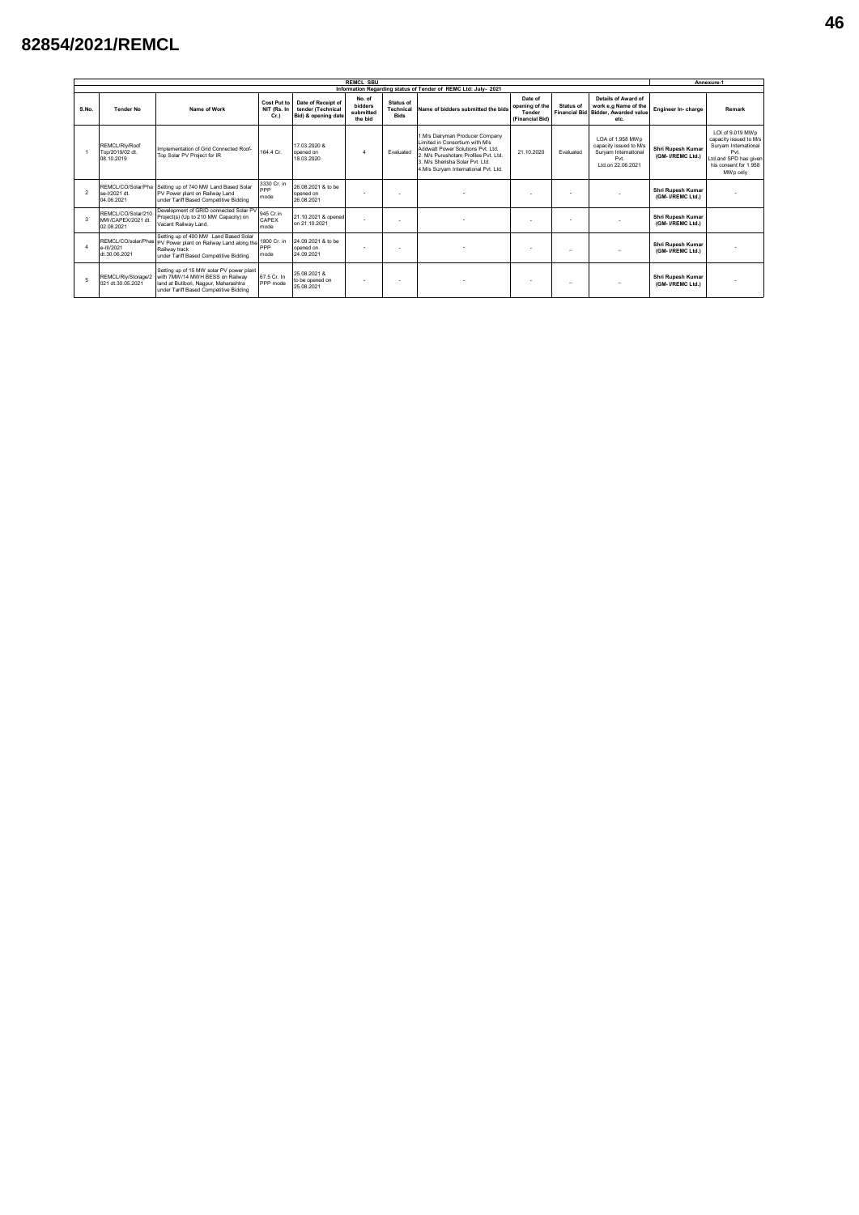## **82854/2021/REMCL**

|                                                                | <b>REMCL SBU</b>                                     |                                                                                                                                                                  |                                   |                                                                |                                                                                    |                          |                                                                                                                                                                                                                     |                                                                     |           |                                                                                                   |                                      |                                                                                                                                         |  |
|----------------------------------------------------------------|------------------------------------------------------|------------------------------------------------------------------------------------------------------------------------------------------------------------------|-----------------------------------|----------------------------------------------------------------|------------------------------------------------------------------------------------|--------------------------|---------------------------------------------------------------------------------------------------------------------------------------------------------------------------------------------------------------------|---------------------------------------------------------------------|-----------|---------------------------------------------------------------------------------------------------|--------------------------------------|-----------------------------------------------------------------------------------------------------------------------------------------|--|
| Information Regarding status of Tender of REMC Ltd: July- 2021 |                                                      |                                                                                                                                                                  |                                   |                                                                |                                                                                    |                          |                                                                                                                                                                                                                     |                                                                     |           |                                                                                                   |                                      |                                                                                                                                         |  |
| S.No.                                                          | <b>Tender No</b>                                     | Name of Work                                                                                                                                                     | Cost Put to<br>NIT (Rs. In<br>Cr. | Date of Receipt of<br>tender (Technical<br>Bid) & opening date | No. of<br>Status of<br>bidders<br>Technical<br>submitted<br><b>Bids</b><br>the bid |                          | Name of bidders submitted the bids                                                                                                                                                                                  | Date of<br>opening of the<br>Status of<br>Tender<br>(Financial Bid) |           | <b>Details of Award of</b><br>work e,g Name of the<br>Financial Bid Bidder, Awarded value<br>etc. | Engineer In-charge                   | Remark                                                                                                                                  |  |
|                                                                | REMCL/RIv/Roof<br>Top/2019/02 dt.<br>08.10.2019      | Implementation of Grid Connected Roof-<br>Top Solar PV Project for IR                                                                                            | 164.4 Cr.                         | 17 03 2020 &<br>opened on<br>18.03.2020                        |                                                                                    | Evaluated                | 1.M/s Dairyman Producer Company<br>Limited in Consortium with M/s<br>Addwatt Power Solutions Pvt. Ltd.<br>2 M/s Purushotam Profiles Pvt 1td<br>3 M/s Sherisha Solar Pvt 1td<br>4.M/s Survam International Pvt. Ltd. | 21.10.2020                                                          | Evaluated | LOA of 1.958 MWp<br>capacity issued to M/s<br>Survam International<br>Pvt.<br>Ltd.on 22.06.2021   | Shri Rupesh Kumar<br>(GM-VREMC Ltd.) | LOI of 9.019 MWp<br>capacity issued to M/s<br>Survam International<br>Pvt<br>Ltd.and SPD has given<br>his consent for 1.958<br>MWp only |  |
| $\overline{\phantom{a}}$                                       | REMCL/CO/Solar/Pha<br>se-I/2021 dt.<br>04.06.2021    | Setting up of 740 MW Land Based Solar<br>PV Power plant on Railway Land<br>under Tariff Based Competitive Bidding                                                | 3330 Cr. in<br>PPP<br>mode        | 26.08.2021 & to be<br>opened on<br>26.08.2021                  | ۰                                                                                  | $\sim$                   |                                                                                                                                                                                                                     | $\overline{\phantom{a}}$                                            |           |                                                                                                   | Shri Rupesh Kumar<br>(GM-VREMC Ltd.) |                                                                                                                                         |  |
| 3                                                              | REMCL/CO/Solar/210<br>MW/CAPEX/2021 dt<br>02.08.2021 | Development of GRID connected Solar PV<br>Project(s) (Up to 210 MW Capacity) on<br>Vacant Railway Land.                                                          | 945 Cr in<br>CAPEX<br>mode        | 21.10.2021 & opened<br>on 21.10.2021                           | ٠                                                                                  | $\overline{\phantom{a}}$ |                                                                                                                                                                                                                     | ۰.                                                                  |           |                                                                                                   | Shri Rupesh Kumar<br>(GM-VREMC Ltd.) |                                                                                                                                         |  |
|                                                                | e-III/2021<br>dt 30.06.2021                          | Setting up of 400 MW Land Based Solar<br>REMCL/CO/solar/Phas PV Power plant on Railway Land along the<br>Railway track<br>under Tariff Based Competitive Bidding | 1800 Cr. in<br>PPP<br>mode        | 24 09 2021 & to be<br>opened on<br>24.09.2021                  | $\overline{\phantom{a}}$                                                           | $\overline{\phantom{a}}$ |                                                                                                                                                                                                                     | $\overline{\phantom{a}}$                                            |           |                                                                                                   | Shri Rupesh Kumar<br>(GM-VREMC Ltd.) |                                                                                                                                         |  |
|                                                                | REMCL/RIv/Storage/2<br>021 dt.30.05.2021             | Setting up of 15 MW solar PV power plant<br>with 7MW/14 MWH BESS on Railway<br>land at Butibori, Nagpur, Maharashtra<br>under Tariff Based Competitive Bidding   | 67.5 Cr. In<br>PPP mode           | 25.08.2021 &<br>to be opened on<br>25.08.2021                  | $\overline{\phantom{a}}$                                                           | $\overline{\phantom{a}}$ |                                                                                                                                                                                                                     | $\overline{\phantom{a}}$                                            | -         |                                                                                                   | Shri Rupesh Kumar<br>(GM-VREMC Ltd.) |                                                                                                                                         |  |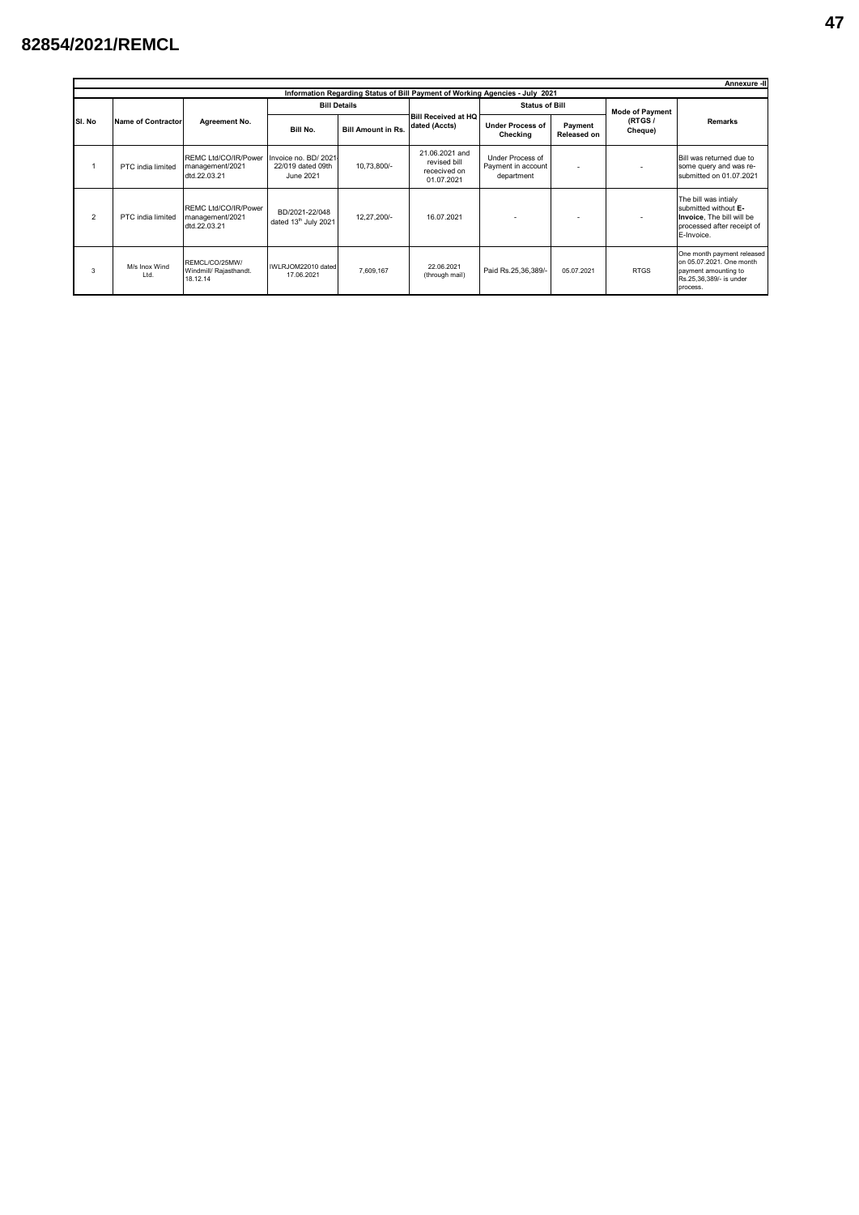## **82854/2021/REMCL**

|                                                                              |                           |                                                         |                                                         |                           |                                                              |                                                      |                               |                        | Annexure -II                                                                                                          |  |  |  |  |
|------------------------------------------------------------------------------|---------------------------|---------------------------------------------------------|---------------------------------------------------------|---------------------------|--------------------------------------------------------------|------------------------------------------------------|-------------------------------|------------------------|-----------------------------------------------------------------------------------------------------------------------|--|--|--|--|
| Information Regarding Status of Bill Payment of Working Agencies - July 2021 |                           |                                                         |                                                         |                           |                                                              |                                                      |                               |                        |                                                                                                                       |  |  |  |  |
|                                                                              |                           |                                                         |                                                         | <b>Bill Details</b>       |                                                              | <b>Status of Bill</b>                                |                               | <b>Mode of Payment</b> | <b>Remarks</b>                                                                                                        |  |  |  |  |
| SI. No                                                                       | <b>Name of Contractor</b> | Agreement No.                                           | Bill No.                                                | <b>Bill Amount in Rs.</b> | <b>Bill Received at HQ</b><br>dated (Accts)                  | <b>Under Process of</b><br>Checking                  | Payment<br><b>Released on</b> | (RTGS/<br>Cheque)      |                                                                                                                       |  |  |  |  |
|                                                                              | PTC india limited         | REMC Ltd/CO/IR/Power<br>management/2021<br>dtd.22.03.21 | Invoice no. BD/ 2021-<br>22/019 dated 09th<br>June 2021 | 10,73,800/-               | 21.06.2021 and<br>revised bill<br>rececived on<br>01.07.2021 | Under Process of<br>Payment in account<br>department | $\overline{\phantom{0}}$      |                        | Bill was returned due to<br>some query and was re-<br>submitted on 01.07.2021                                         |  |  |  |  |
| $\overline{2}$                                                               | PTC india limited         | REMC Ltd/CO/IR/Power<br>management/2021<br>dtd.22.03.21 | BD/2021-22/048<br>dated 13th July 2021                  | 12,27,200/-               | 16.07.2021                                                   |                                                      |                               |                        | The bill was intialy<br>submitted without E-<br>Invoice, The bill will be<br>processed after receipt of<br>E-Invoice. |  |  |  |  |
| 3                                                                            | M/s Inox Wind<br>Ltd.     | REMCL/CO/25MW/<br>Windmill/ Rajasthandt.<br>18.12.14    | IWLRJOM22010 dated<br>17.06.2021                        | 7,609,167                 | 22.06.2021<br>(through mail)                                 | Paid Rs.25,36,389/-                                  | 05.07.2021                    | <b>RTGS</b>            | One month payment released<br>on 05.07.2021. One month<br>payment amounting to<br>Rs.25,36,389/- is under<br>process. |  |  |  |  |